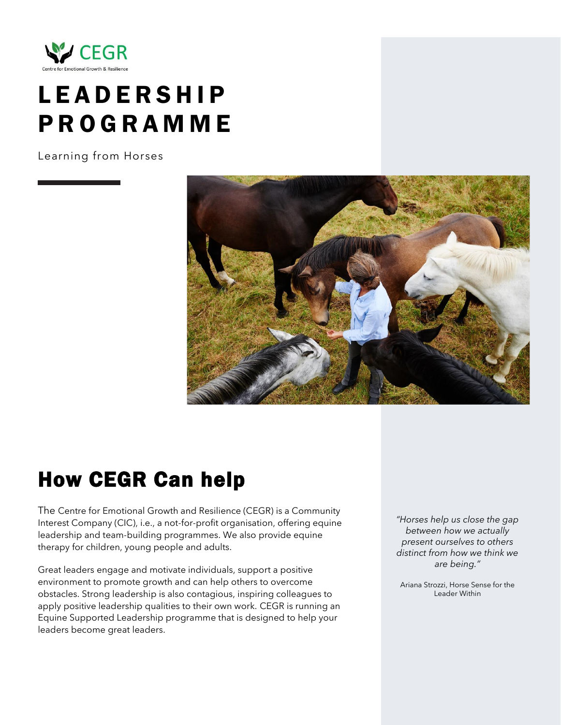

# **LEADERSHIP** P R O G R A M M E

Learning from Horses



## How CEGR Can help

The Centre for Emotional Growth and Resilience (CEGR) is a Community Interest Company (CIC), i.e., a not-for-profit organisation, offering equine leadership and team-building programmes. We also provide equine therapy for children, young people and adults.

Great leaders engage and motivate individuals, support a positive environment to promote growth and can help others to overcome obstacles. Strong leadership is also contagious, inspiring colleagues to apply positive leadership qualities to their own work. CEGR is running an Equine Supported Leadership programme that is designed to help your leaders become great leaders.

*"Horses help us close the gap between how we actually present ourselves to others distinct from how we think we are being."*

Ariana Strozzi, Horse Sense for the Leader Within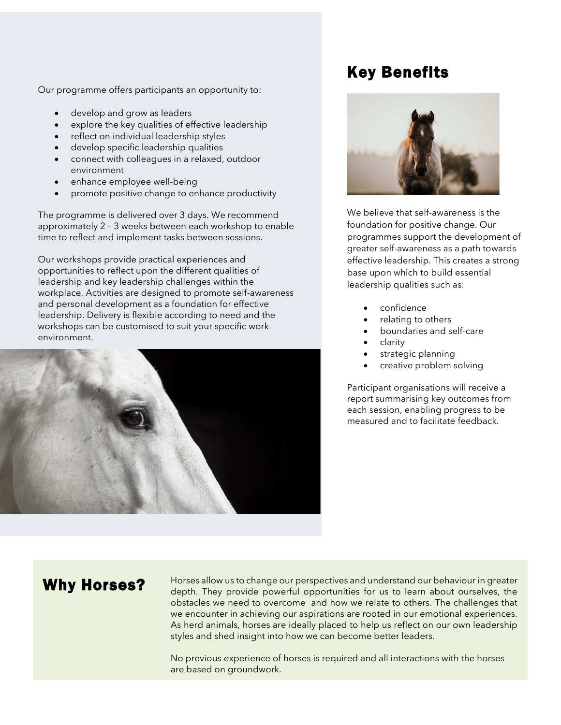Our programme offers participants an opportunity to:

- develop and grow as leaders
- explore the key qualities of effective leadership
- reflect on individual leadership styles
- develop specific leadership qualities
- connect with colleagues in a relaxed, outdoor environment
- enhance employee well-being
- promote positive change to enhance productivity

The programme is delivered over 3 days. We recommend approximately 2 – 3 weeks between each workshop to enable time to reflect and implement tasks between sessions.

Our workshops provide practical experiences and opportunities to reflect upon the different qualities of leadership and key leadership challenges within the workplace. Activities are designed to promote self-awareness and personal development as a foundation for effective leadership. Delivery is flexible according to need and the workshops can be customised to suit your specific work environment.



#### Key Benefits



We believe that self-awareness is the foundation for positive change. Our programmes support the development of greater self-awareness as a path towards effective leadership. This creates a strong base upon which to build essential leadership qualities such as:

- confidence
- relating to others
- boundaries and self-care
- clarity
- strategic planning
- creative problem solving

Participant organisations will receive a report summarising key outcomes from each session, enabling progress to be measured and to facilitate feedback.

#### Why Horses?

Horses allow us to change our perspectives and understand our behaviour in greater depth. They provide powerful opportunities for us to learn about ourselves, the obstacles we need to overcome and how we relate to others. The challenges that we encounter in achieving our aspirations are rooted in our emotional experiences. As herd animals, horses are ideally placed to help us reflect on our own leadership styles and shed insight into how we can become better leaders.

No previous experience of horses is required and all interactions with the horses are based on groundwork.